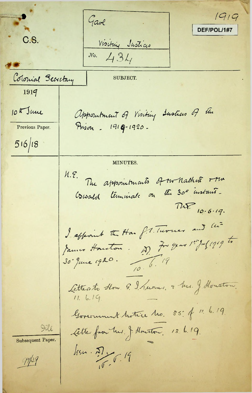$1919$ Gave DEF/POL/1#7 C.S. Visiting Justices  $N_0. 434$ Colonial Secretary **SUBJECT.** 1919 10 K June appointment of Visiting Institutes of the Prison - 1919-1920. Previous Paper.  $516/18$ MINUTES. N.E. The appointments of our hathelt rtw Cowald terminale on the 30<sup>5</sup> instant.  $71.77$  10.6.19. I affeaint the Han f. Theoner and his James Houston. D. 7. year 1. Jul 1919 to Litterato How G. I. Lunes, & Mrs. J. Houston. Government testice tro. 35: of 11. 6.19 Lette fron her. J. Houston, 13. b. 19. Iill Subsequent Paper.  $\frac{1}{2}$  $74/19$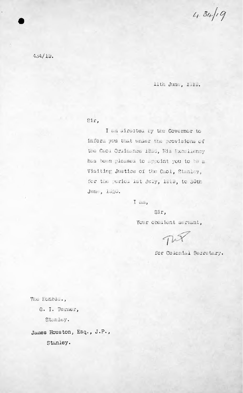$434/19$ 

 $4.4/19.$ 

llth June, 1818.

 $S1r$ ,

I am airected by the Governor to inform you that under the provisions of the Caol Ordinance 1858, His Excellency has been pleased to appoint you to be a Visiting Justice of the Caol, Stanley, for the period ist July, 1919, to 30th June, 1520.

I tall,

Sir, Your obuilent servant,

TWP

for Colonial Secretary.

The Honold., G. I. Turner,

Stanley.

James Houston, Esq., J.P.,

Stanley.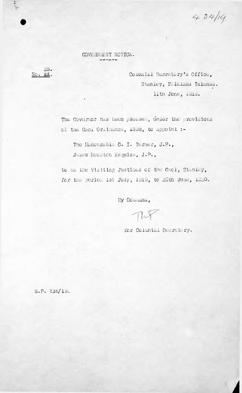$434/19$ 

 $\boldsymbol{\gamma}$ 

COVERNMENT NOTICE.

 $55.$ NC. 34.

Colonial Sucretary's Office, Stanley, F. lalani Islanis. lith June, 1915.

The Covernor has been please; unaer the provisions of the Guel Oralmance, 1338, to appoint :-

The Honourable G. I. Turner, J.P., James Houston Esquire, J.P.,

to be the Visiting Justices of the Gaol, Stanley, for the period lat July, 1919, to 30th June, 1920.

By Comedia,

 $\pi$ 

for Colonial Secretary.

M.P. 431/13.